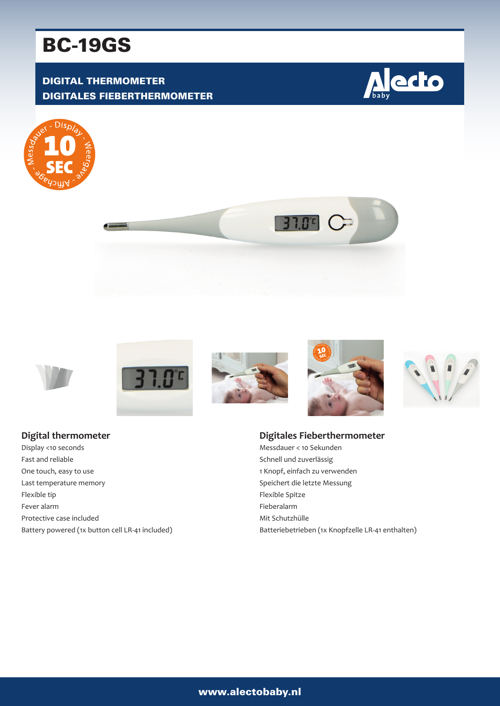# BC-19GS

# DIGITAL THERMOMETER DIGITALES FIEBERTHERMOMETER

















#### **Digital thermometer**

Display <10 seconds Fast and reliable One touch, easy to use Last temperature memory Flexible tip Fever alarm Protective case included Battery powered (1x button cell LR-41 included)

#### **Digitales Fieberthermometer**

Messdauer < 10 Sekunden Schnell und zuverlässig 1 Knopf, einfach zu verwenden Speichert die letzte Messung Flexible Spitze Fieberalarm Mit Schutzhülle Batteriebetrieben (1x Knopfzelle LR-41 enthalten)